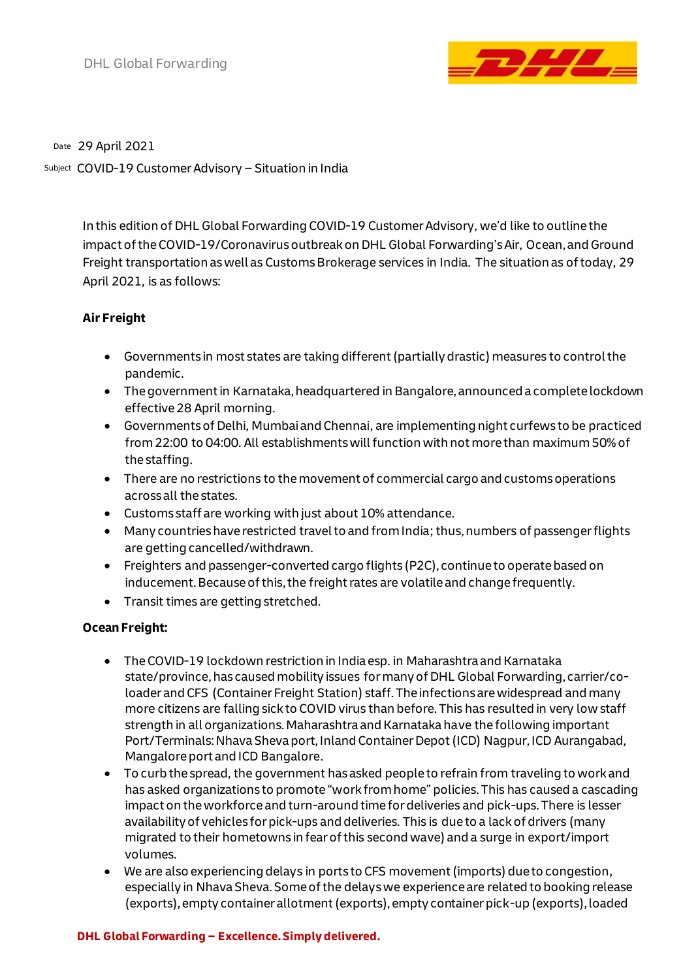

29 April 2021 Date

COVID-19 Customer Advisory – Situation in India Subject

In this edition of DHL Global Forwarding COVID-19 Customer Advisory, we'd like to outline the impact of the COVID-19/Coronavirusoutbreak on DHL Global Forwarding's Air, Ocean, and Ground Freight transportation as well as Customs Brokerage services in India. The situation as of today, 29 April 2021, is as follows:

# **Air Freight**

- Governments in most states are taking different (partially drastic) measures to control the pandemic.
- The government in Karnataka, headquartered in Bangalore, announced a complete lockdown effective 28 April morning.
- Governments of Delhi, Mumbai and Chennai, are implementing night curfews to be practiced from 22:00 to 04:00. All establishments will function with not more than maximum 50% of the staffing.
- There are no restrictions to the movement of commercial cargo and customs operations across all the states.
- Customs staff are working with just about 10% attendance.
- Many countries have restricted travel to and from India; thus, numbers of passenger flights are getting cancelled/withdrawn.
- Freighters and passenger-converted cargo flights (P2C), continue to operate based on inducement. Because of this, the freight rates are volatile and change frequently.
- Transit times are getting stretched.

# **Ocean Freight:**

- The COVID-19 lockdown restriction in India esp. in Maharashtra and Karnataka state/province, has caused mobility issues for many of DHL Global Forwarding, carrier/coloader and CFS (Container Freight Station) staff. The infections are widespread and many more citizens are falling sick to COVID virus than before. This has resulted in very low staff strength in all organizations. Maharashtra and Karnataka have the following important Port/Terminals: Nhava Sheva port, Inland Container Depot (ICD) Nagpur, ICD Aurangabad, Mangalore port and ICD Bangalore.
- To curb the spread, the government has asked people to refrain from traveling to work and has asked organizations to promote "work from home"policies. This has caused a cascading impact on the workforce and turn-around time for deliveries and pick-ups. There is lesser availability of vehicles for pick-ups and deliveries. This is due to a lack of drivers (many migrated to their hometowns in fear of this second wave) and a surge in export/import volumes.
- We are also experiencing delays in ports to CFS movement (imports) due to congestion, especially in Nhava Sheva. Some of the delayswe experience are related to booking release (exports), empty container allotment (exports), empty container pick-up (exports), loaded

#### **DHL Global Forwarding – Excellence. Simply delivered.**